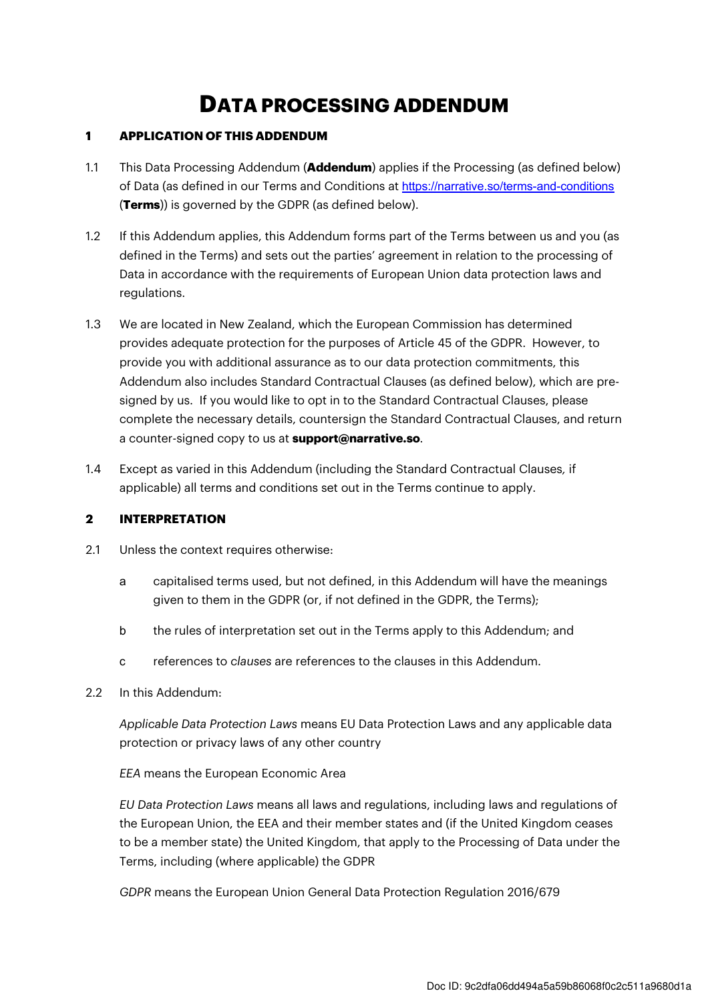# **DATA PROCESSING ADDENDUM**

## **1 APPLICATION OF THIS ADDENDUM**

- 1.1 This Data Processing Addendum (**Addendum**) applies if the Processing (as defined below) of Data (as defined in our Terms and Conditions at https://narrative.so/terms-and-conditions (**Terms**)) is governed by the GDPR (as defined below).
- 1.2 If this Addendum applies, this Addendum forms part of the Terms between us and you (as defined in the Terms) and sets out the parties' agreement in relation to the processing of Data in accordance with the requirements of European Union data protection laws and regulations.
- 1.3 We are located in New Zealand, which the European Commission has determined provides adequate protection for the purposes of Article 45 of the GDPR. However, to provide you with additional assurance as to our data protection commitments, this Addendum also includes Standard Contractual Clauses (as defined below), which are presigned by us. If you would like to opt in to the Standard Contractual Clauses, please complete the necessary details, countersign the Standard Contractual Clauses, and return a counter-signed copy to us at **support@narrative.so**.
- 1.4 Except as varied in this Addendum (including the Standard Contractual Clauses, if applicable) all terms and conditions set out in the Terms continue to apply.

## **2 INTERPRETATION**

- 2.1 Unless the context requires otherwise:
	- a capitalised terms used, but not defined, in this Addendum will have the meanings given to them in the GDPR (or, if not defined in the GDPR, the Terms);
	- b the rules of interpretation set out in the Terms apply to this Addendum; and
	- c references to clauses are references to the clauses in this Addendum.
- 2.2 In this Addendum:

Applicable Data Protection Laws means EU Data Protection Laws and any applicable data protection or privacy laws of any other country

#### EEA means the European Economic Area

EU Data Protection Laws means all laws and regulations, including laws and regulations of the European Union, the EEA and their member states and (if the United Kingdom ceases to be a member state) the United Kingdom, that apply to the Processing of Data under the Terms, including (where applicable) the GDPR

GDPR means the European Union General Data Protection Regulation 2016/679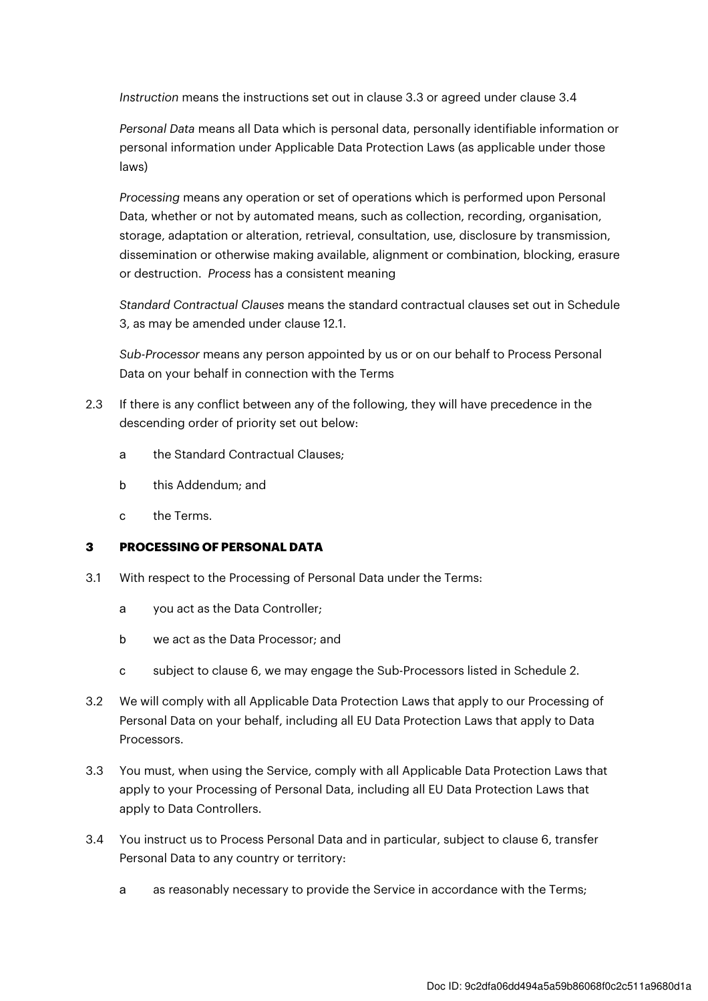Instruction means the instructions set out in clause 3.3 or agreed under clause 3.4

Personal Data means all Data which is personal data, personally identifiable information or personal information under Applicable Data Protection Laws (as applicable under those laws)

Processing means any operation or set of operations which is performed upon Personal Data, whether or not by automated means, such as collection, recording, organisation, storage, adaptation or alteration, retrieval, consultation, use, disclosure by transmission, dissemination or otherwise making available, alignment or combination, blocking, erasure or destruction. Process has a consistent meaning

Standard Contractual Clauses means the standard contractual clauses set out in Schedule 3, as may be amended under clause 12.1.

Sub-Processor means any person appointed by us or on our behalf to Process Personal Data on your behalf in connection with the Terms

- 2.3 If there is any conflict between any of the following, they will have precedence in the descending order of priority set out below:
	- a the Standard Contractual Clauses;
	- b this Addendum; and
	- c the Terms.

#### **3 PROCESSING OF PERSONAL DATA**

- 3.1 With respect to the Processing of Personal Data under the Terms:
	- a you act as the Data Controller;
	- b we act as the Data Processor; and
	- c subject to clause 6, we may engage the Sub-Processors listed in Schedule 2.
- 3.2 We will comply with all Applicable Data Protection Laws that apply to our Processing of Personal Data on your behalf, including all EU Data Protection Laws that apply to Data Processors.
- 3.3 You must, when using the Service, comply with all Applicable Data Protection Laws that apply to your Processing of Personal Data, including all EU Data Protection Laws that apply to Data Controllers.
- 3.4 You instruct us to Process Personal Data and in particular, subject to clause 6, transfer Personal Data to any country or territory:
	- a as reasonably necessary to provide the Service in accordance with the Terms;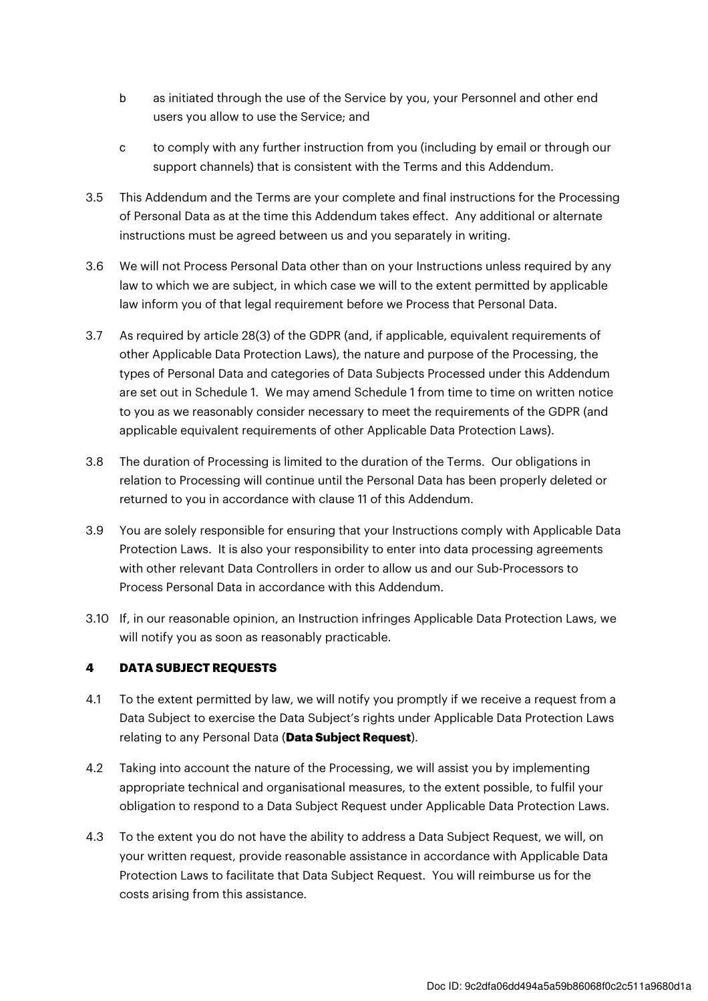- b as initiated through the use of the Service by you, your Personnel and other end users you allow to use the Service; and
- c to comply with any further instruction from you (including by email or through our support channels) that is consistent with the Terms and this Addendum.
- 3.5 This Addendum and the Terms are your complete and final instructions for the Processing of Personal Data as at the time this Addendum takes effect. Any additional or alternate instructions must be agreed between us and you separately in writing.
- 3.6 We will not Process Personal Data other than on your Instructions unless required by any law to which we are subject, in which case we will to the extent permitted by applicable law inform you of that legal requirement before we Process that Personal Data.
- 3.7 As required by article 28(3) of the GDPR (and, if applicable, equivalent requirements of other Applicable Data Protection Laws), the nature and purpose of the Processing, the types of Personal Data and categories of Data Subjects Processed under this Addendum are set out in Schedule 1. We may amend Schedule 1 from time to time on written notice to you as we reasonably consider necessary to meet the requirements of the GDPR (and applicable equivalent requirements of other Applicable Data Protection Laws).
- 3.8 The duration of Processing is limited to the duration of the Terms. Our obligations in relation to Processing will continue until the Personal Data has been properly deleted or returned to you in accordance with clause 11 of this Addendum.
- 3.9 You are solely responsible for ensuring that your Instructions comply with Applicable Data Protection Laws. It is also your responsibility to enter into data processing agreements with other relevant Data Controllers in order to allow us and our Sub-Processors to Process Personal Data in accordance with this Addendum.
- 3.10 If, in our reasonable opinion, an Instruction infringes Applicable Data Protection Laws, we will notify you as soon as reasonably practicable.

## **4 DATA SUBJECT REQUESTS**

- 4.1 To the extent permitted by law, we will notify you promptly if we receive a request from a Data Subject to exercise the Data Subject's rights under Applicable Data Protection Laws relating to any Personal Data (**Data Subject Request**).
- 4.2 Taking into account the nature of the Processing, we will assist you by implementing appropriate technical and organisational measures, to the extent possible, to fulfil your obligation to respond to a Data Subject Request under Applicable Data Protection Laws.
- 4.3 To the extent you do not have the ability to address a Data Subject Request, we will, on your written request, provide reasonable assistance in accordance with Applicable Data Protection Laws to facilitate that Data Subject Request. You will reimburse us for the costs arising from this assistance.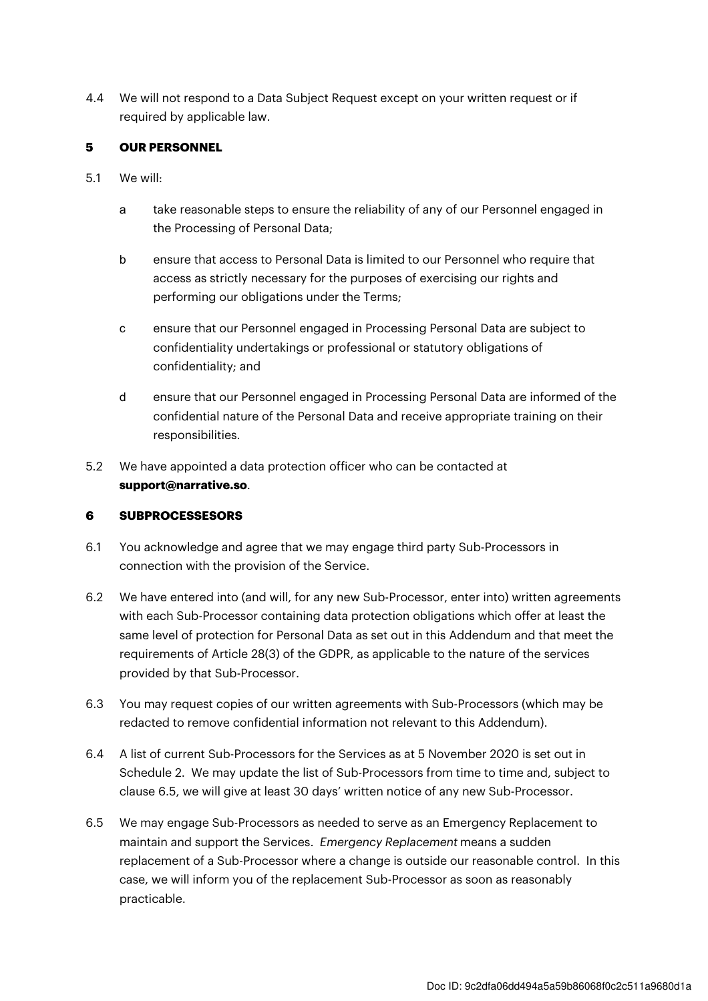4.4 We will not respond to a Data Subject Request except on your written request or if required by applicable law.

## **5 OUR PERSONNEL**

- 5.1 We will:
	- a take reasonable steps to ensure the reliability of any of our Personnel engaged in the Processing of Personal Data;
	- b ensure that access to Personal Data is limited to our Personnel who require that access as strictly necessary for the purposes of exercising our rights and performing our obligations under the Terms;
	- c ensure that our Personnel engaged in Processing Personal Data are subject to confidentiality undertakings or professional or statutory obligations of confidentiality; and
	- d ensure that our Personnel engaged in Processing Personal Data are informed of the confidential nature of the Personal Data and receive appropriate training on their responsibilities.
- 5.2 We have appointed a data protection officer who can be contacted at **support@narrative.so**.

## **6 SUBPROCESSESORS**

- 6.1 You acknowledge and agree that we may engage third party Sub-Processors in connection with the provision of the Service.
- 6.2 We have entered into (and will, for any new Sub-Processor, enter into) written agreements with each Sub-Processor containing data protection obligations which offer at least the same level of protection for Personal Data as set out in this Addendum and that meet the requirements of Article 28(3) of the GDPR, as applicable to the nature of the services provided by that Sub-Processor.
- 6.3 You may request copies of our written agreements with Sub-Processors (which may be redacted to remove confidential information not relevant to this Addendum).
- 6.4 A list of current Sub-Processors for the Services as at 5 November 2020 is set out in Schedule 2. We may update the list of Sub-Processors from time to time and, subject to clause 6.5, we will give at least 30 days' written notice of any new Sub-Processor.
- 6.5 We may engage Sub-Processors as needed to serve as an Emergency Replacement to maintain and support the Services. Emergency Replacement means a sudden replacement of a Sub-Processor where a change is outside our reasonable control. In this case, we will inform you of the replacement Sub-Processor as soon as reasonably practicable.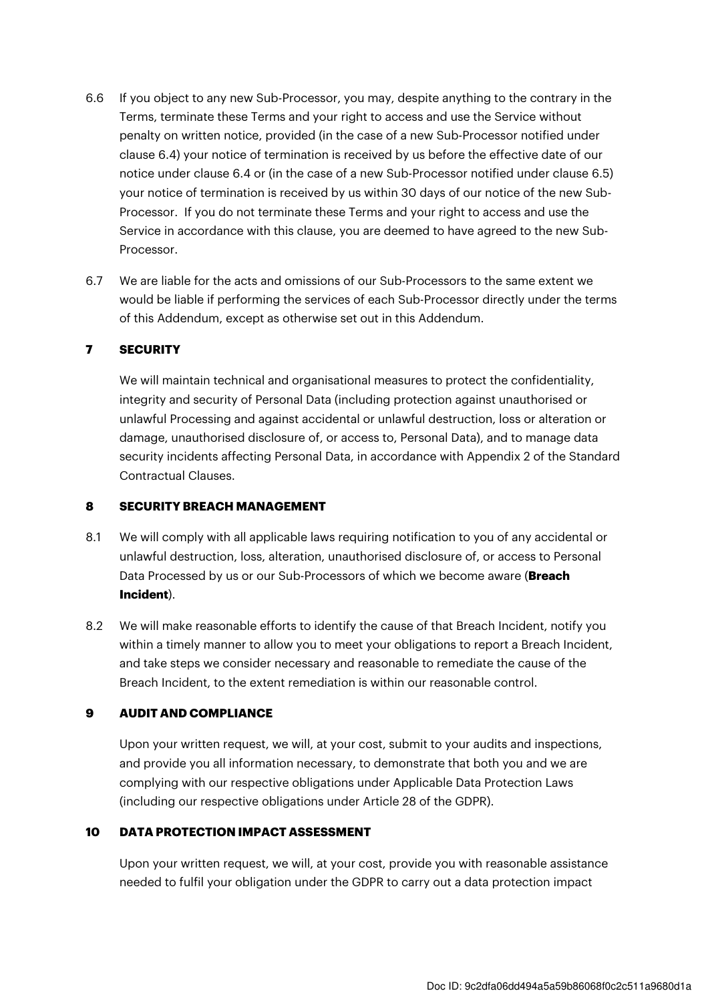- 6.6 If you object to any new Sub-Processor, you may, despite anything to the contrary in the Terms, terminate these Terms and your right to access and use the Service without penalty on written notice, provided (in the case of a new Sub-Processor notified under clause 6.4) your notice of termination is received by us before the effective date of our notice under clause 6.4 or (in the case of a new Sub-Processor notified under clause 6.5) your notice of termination is received by us within 30 days of our notice of the new Sub-Processor. If you do not terminate these Terms and your right to access and use the Service in accordance with this clause, you are deemed to have agreed to the new Sub-Processor.
- 6.7 We are liable for the acts and omissions of our Sub-Processors to the same extent we would be liable if performing the services of each Sub-Processor directly under the terms of this Addendum, except as otherwise set out in this Addendum.

## **7 SECURITY**

We will maintain technical and organisational measures to protect the confidentiality, integrity and security of Personal Data (including protection against unauthorised or unlawful Processing and against accidental or unlawful destruction, loss or alteration or damage, unauthorised disclosure of, or access to, Personal Data), and to manage data security incidents affecting Personal Data, in accordance with Appendix 2 of the Standard Contractual Clauses.

## **8 SECURITY BREACH MANAGEMENT**

- 8.1 We will comply with all applicable laws requiring notification to you of any accidental or unlawful destruction, loss, alteration, unauthorised disclosure of, or access to Personal Data Processed by us or our Sub-Processors of which we become aware (**Breach Incident**).
- 8.2 We will make reasonable efforts to identify the cause of that Breach Incident, notify you within a timely manner to allow you to meet your obligations to report a Breach Incident, and take steps we consider necessary and reasonable to remediate the cause of the Breach Incident, to the extent remediation is within our reasonable control.

## **9 AUDIT AND COMPLIANCE**

Upon your written request, we will, at your cost, submit to your audits and inspections, and provide you all information necessary, to demonstrate that both you and we are complying with our respective obligations under Applicable Data Protection Laws (including our respective obligations under Article 28 of the GDPR).

## **10 DATA PROTECTION IMPACT ASSESSMENT**

Upon your written request, we will, at your cost, provide you with reasonable assistance needed to fulfil your obligation under the GDPR to carry out a data protection impact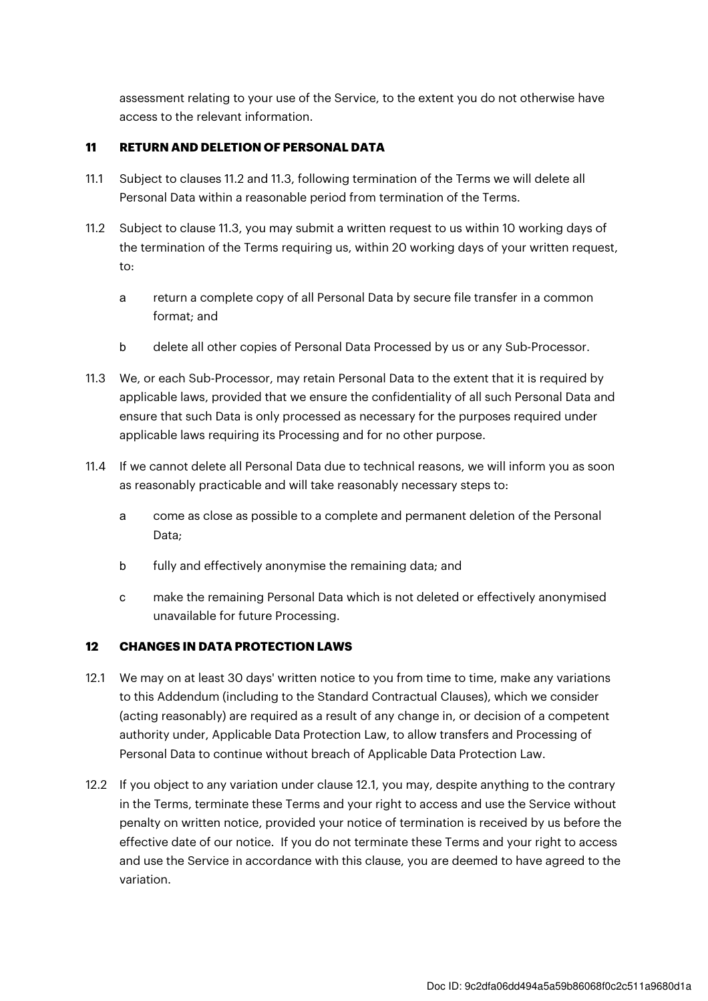assessment relating to your use of the Service, to the extent you do not otherwise have access to the relevant information.

## **11 RETURN AND DELETION OF PERSONAL DATA**

- 11.1 Subject to clauses 11.2 and 11.3, following termination of the Terms we will delete all Personal Data within a reasonable period from termination of the Terms.
- 11.2 Subject to clause 11.3, you may submit a written request to us within 10 working days of the termination of the Terms requiring us, within 20 working days of your written request, to:
	- a return a complete copy of all Personal Data by secure file transfer in a common format; and
	- b delete all other copies of Personal Data Processed by us or any Sub-Processor.
- 11.3 We, or each Sub-Processor, may retain Personal Data to the extent that it is required by applicable laws, provided that we ensure the confidentiality of all such Personal Data and ensure that such Data is only processed as necessary for the purposes required under applicable laws requiring its Processing and for no other purpose.
- 11.4 If we cannot delete all Personal Data due to technical reasons, we will inform you as soon as reasonably practicable and will take reasonably necessary steps to:
	- a come as close as possible to a complete and permanent deletion of the Personal Data;
	- b fully and effectively anonymise the remaining data; and
	- c make the remaining Personal Data which is not deleted or effectively anonymised unavailable for future Processing.

## **12 CHANGES IN DATA PROTECTION LAWS**

- 12.1 We may on at least 30 days' written notice to you from time to time, make any variations to this Addendum (including to the Standard Contractual Clauses), which we consider (acting reasonably) are required as a result of any change in, or decision of a competent authority under, Applicable Data Protection Law, to allow transfers and Processing of Personal Data to continue without breach of Applicable Data Protection Law.
- 12.2 If you object to any variation under clause 12.1, you may, despite anything to the contrary in the Terms, terminate these Terms and your right to access and use the Service without penalty on written notice, provided your notice of termination is received by us before the effective date of our notice. If you do not terminate these Terms and your right to access and use the Service in accordance with this clause, you are deemed to have agreed to the variation.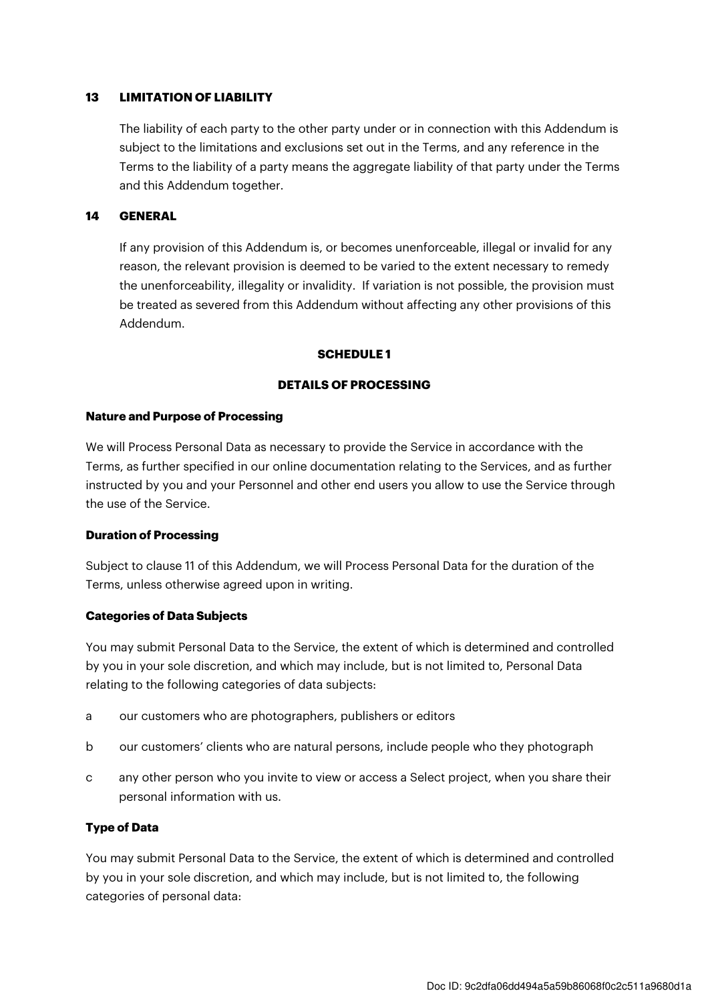## **13 LIMITATION OF LIABILITY**

The liability of each party to the other party under or in connection with this Addendum is subject to the limitations and exclusions set out in the Terms, and any reference in the Terms to the liability of a party means the aggregate liability of that party under the Terms and this Addendum together.

#### **14 GENERAL**

If any provision of this Addendum is, or becomes unenforceable, illegal or invalid for any reason, the relevant provision is deemed to be varied to the extent necessary to remedy the unenforceability, illegality or invalidity. If variation is not possible, the provision must be treated as severed from this Addendum without affecting any other provisions of this Addendum.

#### **SCHEDULE 1**

#### **DETAILS OF PROCESSING**

#### **Nature and Purpose of Processing**

We will Process Personal Data as necessary to provide the Service in accordance with the Terms, as further specified in our online documentation relating to the Services, and as further instructed by you and your Personnel and other end users you allow to use the Service through the use of the Service.

#### **Duration of Processing**

Subject to clause 11 of this Addendum, we will Process Personal Data for the duration of the Terms, unless otherwise agreed upon in writing.

#### **Categories of Data Subjects**

You may submit Personal Data to the Service, the extent of which is determined and controlled by you in your sole discretion, and which may include, but is not limited to, Personal Data relating to the following categories of data subjects:

- a our customers who are photographers, publishers or editors
- b our customers' clients who are natural persons, include people who they photograph
- c any other person who you invite to view or access a Select project, when you share their personal information with us.

## **Type of Data**

You may submit Personal Data to the Service, the extent of which is determined and controlled by you in your sole discretion, and which may include, but is not limited to, the following categories of personal data: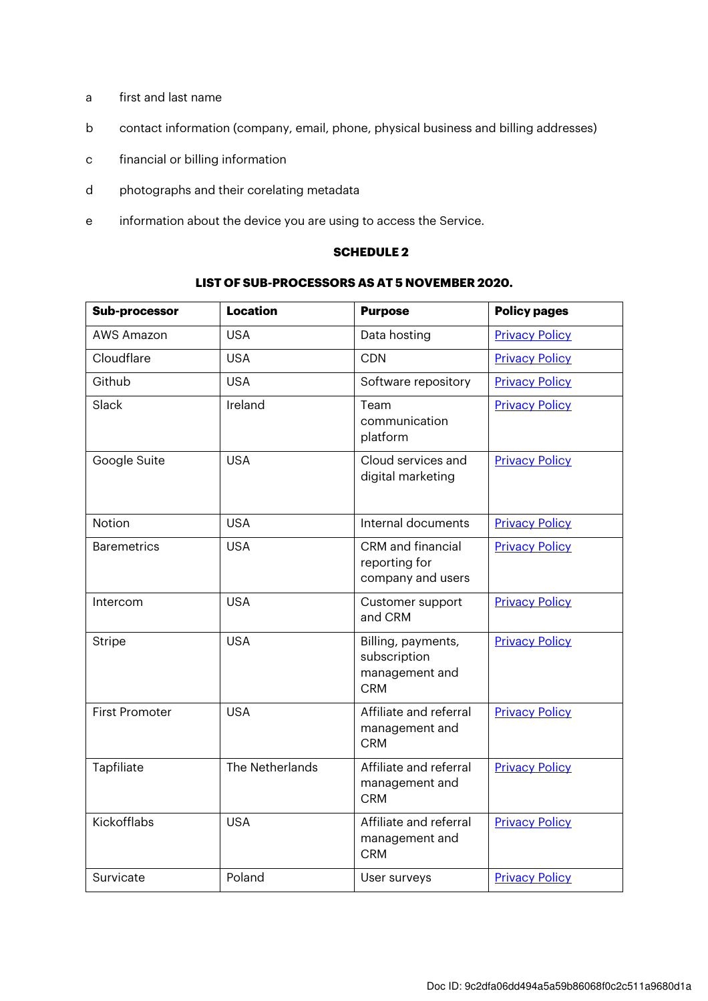- a first and last name
- b contact information (company, email, phone, physical business and billing addresses)
- c financial or billing information
- d photographs and their corelating metadata
- e information about the device you are using to access the Service.

#### **SCHEDULE 2**

### **LIST OF SUB-PROCESSORS AS AT 5 NOVEMBER 2020.**

| Sub-processor         | <b>Location</b> | <b>Purpose</b>                                                     | <b>Policy pages</b>   |
|-----------------------|-----------------|--------------------------------------------------------------------|-----------------------|
| <b>AWS Amazon</b>     | <b>USA</b>      | Data hosting                                                       | <b>Privacy Policy</b> |
| Cloudflare            | <b>USA</b>      | <b>CDN</b>                                                         | <b>Privacy Policy</b> |
| Github                | <b>USA</b>      | Software repository                                                | <b>Privacy Policy</b> |
| Slack                 | Ireland         | Team<br>communication<br>platform                                  | <b>Privacy Policy</b> |
| Google Suite          | <b>USA</b>      | Cloud services and<br>digital marketing                            | <b>Privacy Policy</b> |
| <b>Notion</b>         | <b>USA</b>      | Internal documents                                                 | <b>Privacy Policy</b> |
| <b>Baremetrics</b>    | <b>USA</b>      | CRM and financial<br>reporting for<br>company and users            | <b>Privacy Policy</b> |
| Intercom              | <b>USA</b>      | Customer support<br>and CRM                                        | <b>Privacy Policy</b> |
| <b>Stripe</b>         | <b>USA</b>      | Billing, payments,<br>subscription<br>management and<br><b>CRM</b> | <b>Privacy Policy</b> |
| <b>First Promoter</b> | <b>USA</b>      | Affiliate and referral<br>management and<br><b>CRM</b>             | <b>Privacy Policy</b> |
| Tapfiliate            | The Netherlands | Affiliate and referral<br>management and<br><b>CRM</b>             | <b>Privacy Policy</b> |
| <b>Kickofflabs</b>    | <b>USA</b>      | Affiliate and referral<br>management and<br><b>CRM</b>             | <b>Privacy Policy</b> |
| Survicate             | Poland          | User surveys                                                       | <b>Privacy Policy</b> |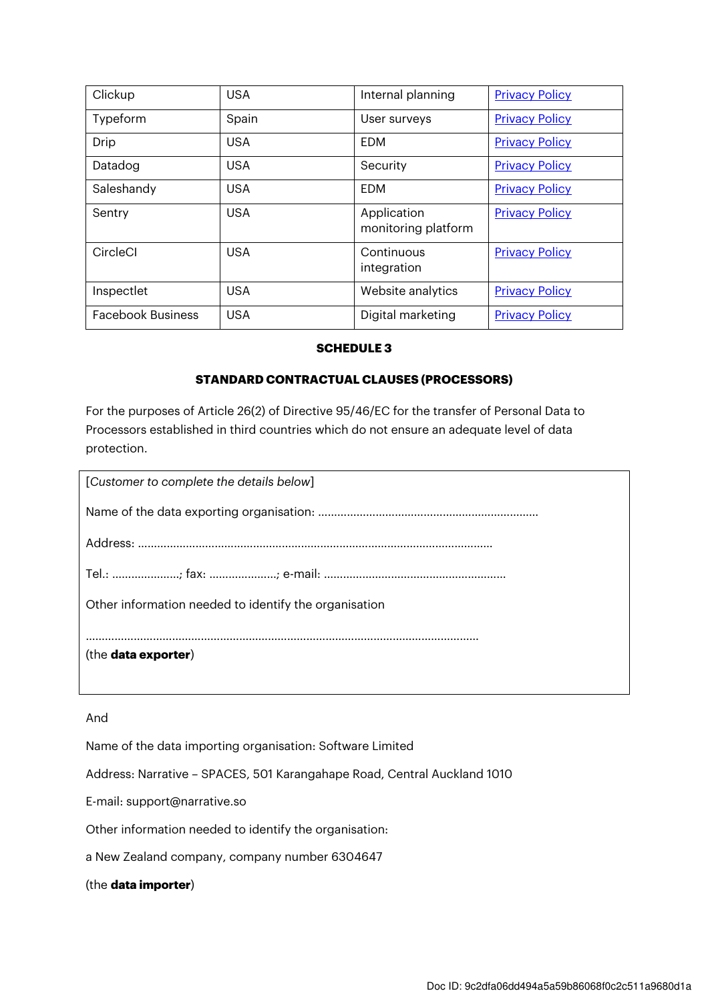| Clickup                  | <b>USA</b> | Internal planning                  | <b>Privacy Policy</b> |
|--------------------------|------------|------------------------------------|-----------------------|
| Typeform                 | Spain      | User surveys                       | <b>Privacy Policy</b> |
| Drip                     | <b>USA</b> | <b>EDM</b>                         | <b>Privacy Policy</b> |
| Datadog                  | <b>USA</b> | Security                           | <b>Privacy Policy</b> |
| Saleshandy               | <b>USA</b> | <b>EDM</b>                         | <b>Privacy Policy</b> |
| Sentry                   | <b>USA</b> | Application<br>monitoring platform | <b>Privacy Policy</b> |
| CircleCI                 | <b>USA</b> | Continuous<br>integration          | <b>Privacy Policy</b> |
| Inspectlet               | <b>USA</b> | Website analytics                  | <b>Privacy Policy</b> |
| <b>Facebook Business</b> | <b>USA</b> | Digital marketing                  | <b>Privacy Policy</b> |

## **SCHEDULE 3**

#### **STANDARD CONTRACTUAL CLAUSES (PROCESSORS)**

For the purposes of Article 26(2) of Directive 95/46/EC for the transfer of Personal Data to Processors established in third countries which do not ensure an adequate level of data protection.

| (the <b>data exporter</b> )                           |
|-------------------------------------------------------|
| Other information needed to identify the organisation |
|                                                       |
|                                                       |
|                                                       |
| [Customer to complete the details below]              |

And

Name of the data importing organisation: Software Limited

Address: Narrative – SPACES, 501 Karangahape Road, Central Auckland 1010

E-mail: support@narrative.so

Other information needed to identify the organisation:

a New Zealand company, company number 6304647

(the **data importer**)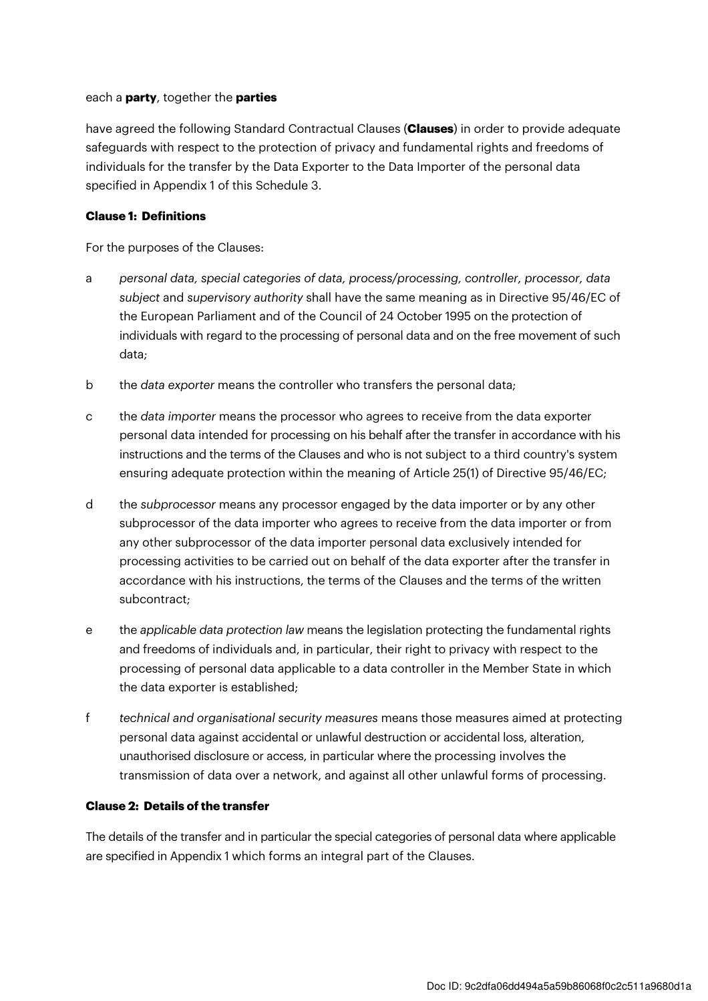#### each a **party**, together the **parties**

have agreed the following Standard Contractual Clauses (**Clauses**) in order to provide adequate safeguards with respect to the protection of privacy and fundamental rights and freedoms of individuals for the transfer by the Data Exporter to the Data Importer of the personal data specified in Appendix 1 of this Schedule 3.

## **Clause 1: Definitions**

For the purposes of the Clauses:

- a personal data, special categories of data, process/processing, controller, processor, data subject and supervisory authority shall have the same meaning as in Directive 95/46/EC of the European Parliament and of the Council of 24 October 1995 on the protection of individuals with regard to the processing of personal data and on the free movement of such data;
- b the data exporter means the controller who transfers the personal data;
- c the data importer means the processor who agrees to receive from the data exporter personal data intended for processing on his behalf after the transfer in accordance with his instructions and the terms of the Clauses and who is not subject to a third country's system ensuring adequate protection within the meaning of Article 25(1) of Directive 95/46/EC;
- d the subprocessor means any processor engaged by the data importer or by any other subprocessor of the data importer who agrees to receive from the data importer or from any other subprocessor of the data importer personal data exclusively intended for processing activities to be carried out on behalf of the data exporter after the transfer in accordance with his instructions, the terms of the Clauses and the terms of the written subcontract;
- e the applicable data protection law means the legislation protecting the fundamental rights and freedoms of individuals and, in particular, their right to privacy with respect to the processing of personal data applicable to a data controller in the Member State in which the data exporter is established;
- f technical and organisational security measures means those measures aimed at protecting personal data against accidental or unlawful destruction or accidental loss, alteration, unauthorised disclosure or access, in particular where the processing involves the transmission of data over a network, and against all other unlawful forms of processing.

## **Clause 2: Details of the transfer**

The details of the transfer and in particular the special categories of personal data where applicable are specified in Appendix 1 which forms an integral part of the Clauses.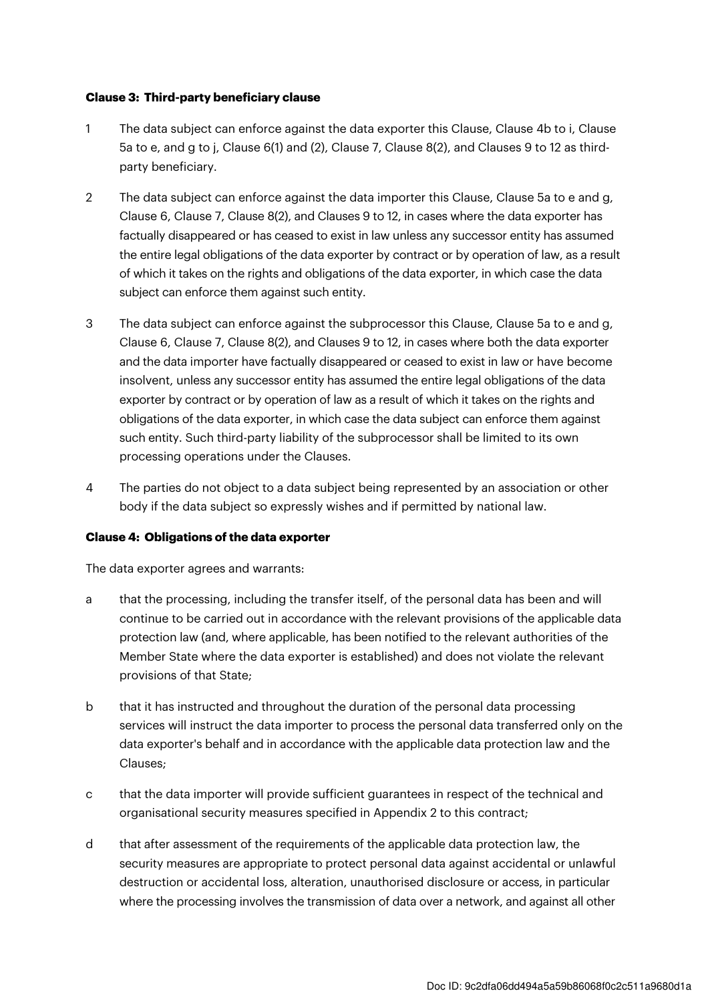#### **Clause 3: Third-party beneficiary clause**

- 1 The data subject can enforce against the data exporter this Clause, Clause 4b to i, Clause 5a to e, and g to j, Clause 6(1) and (2), Clause 7, Clause 8(2), and Clauses 9 to 12 as thirdparty beneficiary.
- 2 The data subject can enforce against the data importer this Clause, Clause 5a to e and g, Clause 6, Clause 7, Clause 8(2), and Clauses 9 to 12, in cases where the data exporter has factually disappeared or has ceased to exist in law unless any successor entity has assumed the entire legal obligations of the data exporter by contract or by operation of law, as a result of which it takes on the rights and obligations of the data exporter, in which case the data subject can enforce them against such entity.
- 3 The data subject can enforce against the subprocessor this Clause, Clause 5a to e and g, Clause 6, Clause 7, Clause 8(2), and Clauses 9 to 12, in cases where both the data exporter and the data importer have factually disappeared or ceased to exist in law or have become insolvent, unless any successor entity has assumed the entire legal obligations of the data exporter by contract or by operation of law as a result of which it takes on the rights and obligations of the data exporter, in which case the data subject can enforce them against such entity. Such third-party liability of the subprocessor shall be limited to its own processing operations under the Clauses.
- 4 The parties do not object to a data subject being represented by an association or other body if the data subject so expressly wishes and if permitted by national law.

## **Clause 4: Obligations of the data exporter**

The data exporter agrees and warrants:

- a that the processing, including the transfer itself, of the personal data has been and will continue to be carried out in accordance with the relevant provisions of the applicable data protection law (and, where applicable, has been notified to the relevant authorities of the Member State where the data exporter is established) and does not violate the relevant provisions of that State;
- b that it has instructed and throughout the duration of the personal data processing services will instruct the data importer to process the personal data transferred only on the data exporter's behalf and in accordance with the applicable data protection law and the Clauses;
- c that the data importer will provide sufficient guarantees in respect of the technical and organisational security measures specified in Appendix 2 to this contract;
- d that after assessment of the requirements of the applicable data protection law, the security measures are appropriate to protect personal data against accidental or unlawful destruction or accidental loss, alteration, unauthorised disclosure or access, in particular where the processing involves the transmission of data over a network, and against all other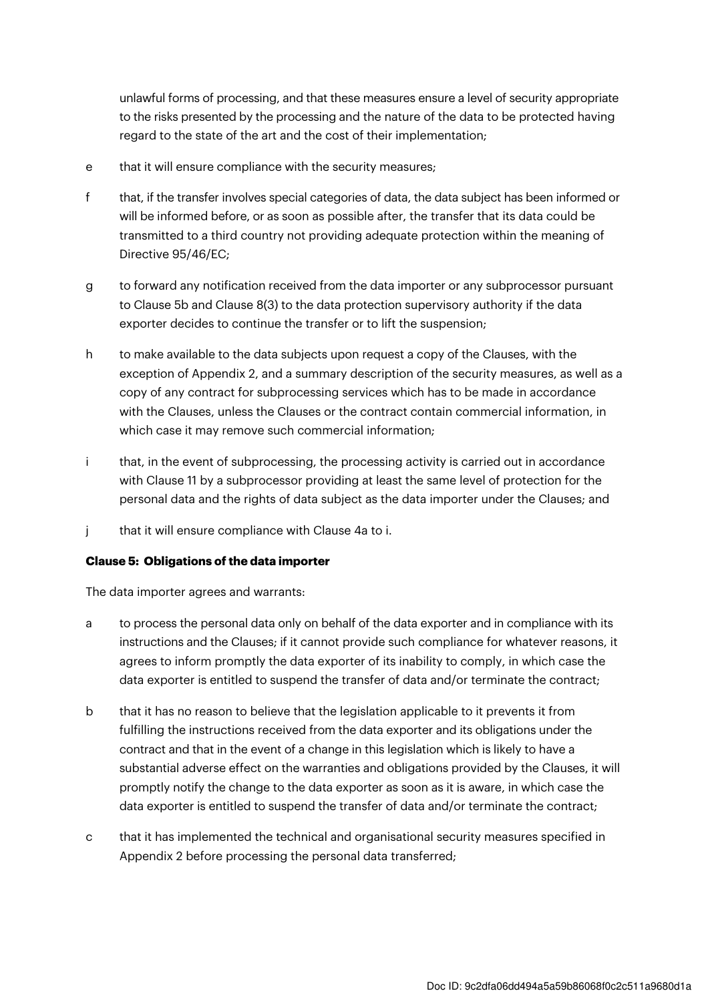unlawful forms of processing, and that these measures ensure a level of security appropriate to the risks presented by the processing and the nature of the data to be protected having regard to the state of the art and the cost of their implementation;

- e that it will ensure compliance with the security measures;
- f that, if the transfer involves special categories of data, the data subject has been informed or will be informed before, or as soon as possible after, the transfer that its data could be transmitted to a third country not providing adequate protection within the meaning of Directive 95/46/EC;
- g to forward any notification received from the data importer or any subprocessor pursuant to Clause 5b and Clause 8(3) to the data protection supervisory authority if the data exporter decides to continue the transfer or to lift the suspension;
- h to make available to the data subjects upon request a copy of the Clauses, with the exception of Appendix 2, and a summary description of the security measures, as well as a copy of any contract for subprocessing services which has to be made in accordance with the Clauses, unless the Clauses or the contract contain commercial information, in which case it may remove such commercial information;
- i that, in the event of subprocessing, the processing activity is carried out in accordance with Clause 11 by a subprocessor providing at least the same level of protection for the personal data and the rights of data subject as the data importer under the Clauses; and
- j that it will ensure compliance with Clause 4a to i.

## **Clause 5: Obligations of the data importer**

The data importer agrees and warrants:

- a to process the personal data only on behalf of the data exporter and in compliance with its instructions and the Clauses; if it cannot provide such compliance for whatever reasons, it agrees to inform promptly the data exporter of its inability to comply, in which case the data exporter is entitled to suspend the transfer of data and/or terminate the contract;
- b that it has no reason to believe that the legislation applicable to it prevents it from fulfilling the instructions received from the data exporter and its obligations under the contract and that in the event of a change in this legislation which is likely to have a substantial adverse effect on the warranties and obligations provided by the Clauses, it will promptly notify the change to the data exporter as soon as it is aware, in which case the data exporter is entitled to suspend the transfer of data and/or terminate the contract;
- c that it has implemented the technical and organisational security measures specified in Appendix 2 before processing the personal data transferred;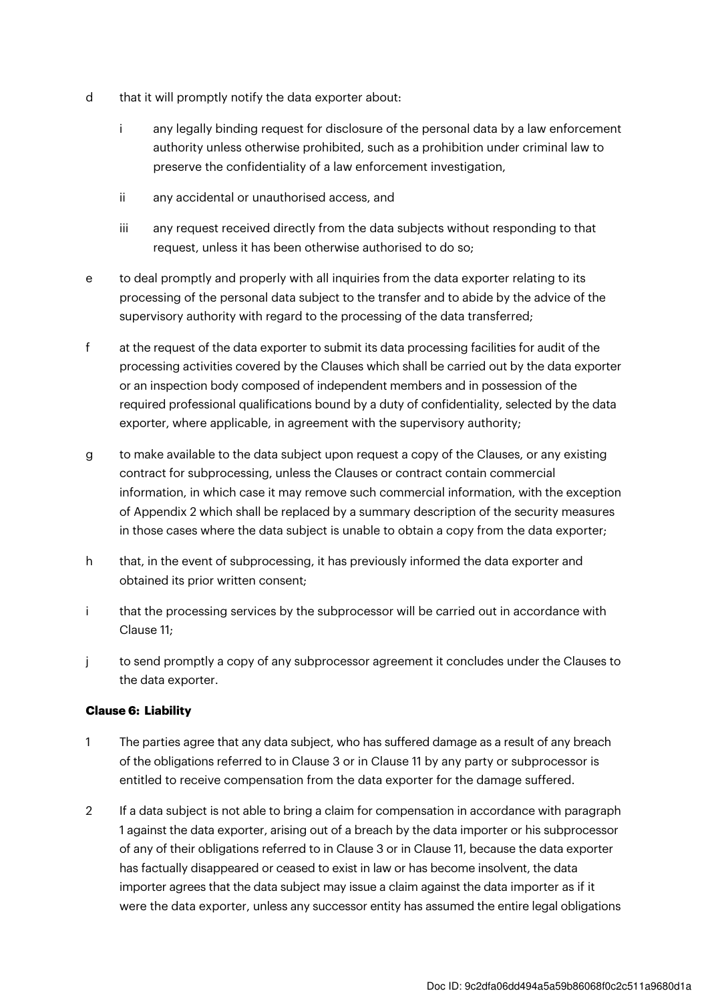- d that it will promptly notify the data exporter about:
	- i any legally binding request for disclosure of the personal data by a law enforcement authority unless otherwise prohibited, such as a prohibition under criminal law to preserve the confidentiality of a law enforcement investigation,
	- ii any accidental or unauthorised access, and
	- iii any request received directly from the data subjects without responding to that request, unless it has been otherwise authorised to do so;
- e to deal promptly and properly with all inquiries from the data exporter relating to its processing of the personal data subject to the transfer and to abide by the advice of the supervisory authority with regard to the processing of the data transferred;
- f at the request of the data exporter to submit its data processing facilities for audit of the processing activities covered by the Clauses which shall be carried out by the data exporter or an inspection body composed of independent members and in possession of the required professional qualifications bound by a duty of confidentiality, selected by the data exporter, where applicable, in agreement with the supervisory authority;
- g to make available to the data subject upon request a copy of the Clauses, or any existing contract for subprocessing, unless the Clauses or contract contain commercial information, in which case it may remove such commercial information, with the exception of Appendix 2 which shall be replaced by a summary description of the security measures in those cases where the data subject is unable to obtain a copy from the data exporter;
- h that, in the event of subprocessing, it has previously informed the data exporter and obtained its prior written consent;
- i that the processing services by the subprocessor will be carried out in accordance with Clause 11;
- j to send promptly a copy of any subprocessor agreement it concludes under the Clauses to the data exporter.

#### **Clause 6: Liability**

- 1 The parties agree that any data subject, who has suffered damage as a result of any breach of the obligations referred to in Clause 3 or in Clause 11 by any party or subprocessor is entitled to receive compensation from the data exporter for the damage suffered.
- 2 If a data subject is not able to bring a claim for compensation in accordance with paragraph 1 against the data exporter, arising out of a breach by the data importer or his subprocessor of any of their obligations referred to in Clause 3 or in Clause 11, because the data exporter has factually disappeared or ceased to exist in law or has become insolvent, the data importer agrees that the data subject may issue a claim against the data importer as if it were the data exporter, unless any successor entity has assumed the entire legal obligations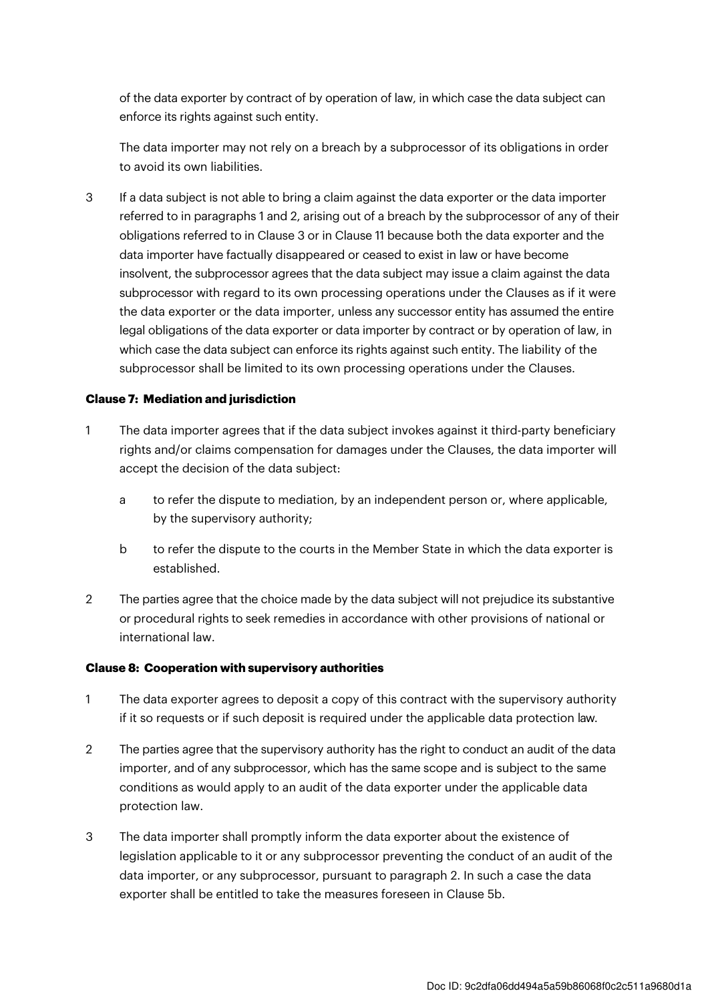of the data exporter by contract of by operation of law, in which case the data subject can enforce its rights against such entity.

The data importer may not rely on a breach by a subprocessor of its obligations in order to avoid its own liabilities.

3 If a data subject is not able to bring a claim against the data exporter or the data importer referred to in paragraphs 1 and 2, arising out of a breach by the subprocessor of any of their obligations referred to in Clause 3 or in Clause 11 because both the data exporter and the data importer have factually disappeared or ceased to exist in law or have become insolvent, the subprocessor agrees that the data subject may issue a claim against the data subprocessor with regard to its own processing operations under the Clauses as if it were the data exporter or the data importer, unless any successor entity has assumed the entire legal obligations of the data exporter or data importer by contract or by operation of law, in which case the data subject can enforce its rights against such entity. The liability of the subprocessor shall be limited to its own processing operations under the Clauses.

## **Clause 7: Mediation and jurisdiction**

- 1 The data importer agrees that if the data subject invokes against it third-party beneficiary rights and/or claims compensation for damages under the Clauses, the data importer will accept the decision of the data subject:
	- a to refer the dispute to mediation, by an independent person or, where applicable, by the supervisory authority;
	- b to refer the dispute to the courts in the Member State in which the data exporter is established.
- 2 The parties agree that the choice made by the data subject will not prejudice its substantive or procedural rights to seek remedies in accordance with other provisions of national or international law.

## **Clause 8: Cooperation with supervisory authorities**

- 1 The data exporter agrees to deposit a copy of this contract with the supervisory authority if it so requests or if such deposit is required under the applicable data protection law.
- 2 The parties agree that the supervisory authority has the right to conduct an audit of the data importer, and of any subprocessor, which has the same scope and is subject to the same conditions as would apply to an audit of the data exporter under the applicable data protection law.
- 3 The data importer shall promptly inform the data exporter about the existence of legislation applicable to it or any subprocessor preventing the conduct of an audit of the data importer, or any subprocessor, pursuant to paragraph 2. In such a case the data exporter shall be entitled to take the measures foreseen in Clause 5b.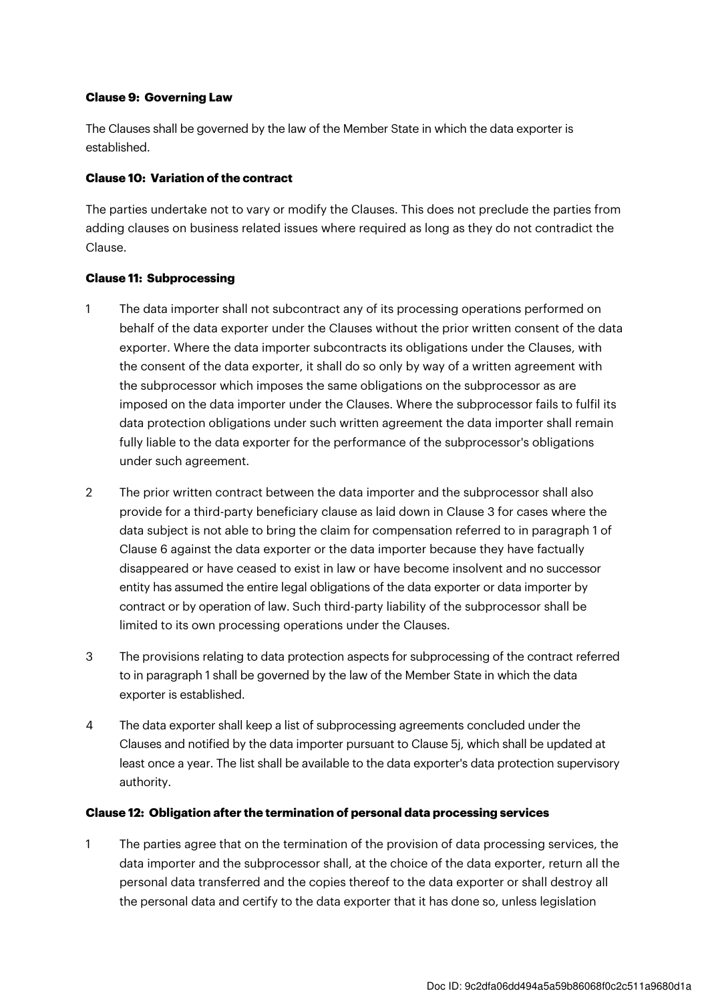## **Clause 9: Governing Law**

The Clauses shall be governed by the law of the Member State in which the data exporter is established.

#### **Clause 10: Variation of the contract**

The parties undertake not to vary or modify the Clauses. This does not preclude the parties from adding clauses on business related issues where required as long as they do not contradict the Clause.

## **Clause 11: Subprocessing**

- 1 The data importer shall not subcontract any of its processing operations performed on behalf of the data exporter under the Clauses without the prior written consent of the data exporter. Where the data importer subcontracts its obligations under the Clauses, with the consent of the data exporter, it shall do so only by way of a written agreement with the subprocessor which imposes the same obligations on the subprocessor as are imposed on the data importer under the Clauses. Where the subprocessor fails to fulfil its data protection obligations under such written agreement the data importer shall remain fully liable to the data exporter for the performance of the subprocessor's obligations under such agreement.
- 2 The prior written contract between the data importer and the subprocessor shall also provide for a third-party beneficiary clause as laid down in Clause 3 for cases where the data subject is not able to bring the claim for compensation referred to in paragraph 1 of Clause 6 against the data exporter or the data importer because they have factually disappeared or have ceased to exist in law or have become insolvent and no successor entity has assumed the entire legal obligations of the data exporter or data importer by contract or by operation of law. Such third-party liability of the subprocessor shall be limited to its own processing operations under the Clauses.
- 3 The provisions relating to data protection aspects for subprocessing of the contract referred to in paragraph 1 shall be governed by the law of the Member State in which the data exporter is established.
- 4 The data exporter shall keep a list of subprocessing agreements concluded under the Clauses and notified by the data importer pursuant to Clause 5j, which shall be updated at least once a year. The list shall be available to the data exporter's data protection supervisory authority.

#### **Clause 12: Obligation after the termination of personal data processing services**

1 The parties agree that on the termination of the provision of data processing services, the data importer and the subprocessor shall, at the choice of the data exporter, return all the personal data transferred and the copies thereof to the data exporter or shall destroy all the personal data and certify to the data exporter that it has done so, unless legislation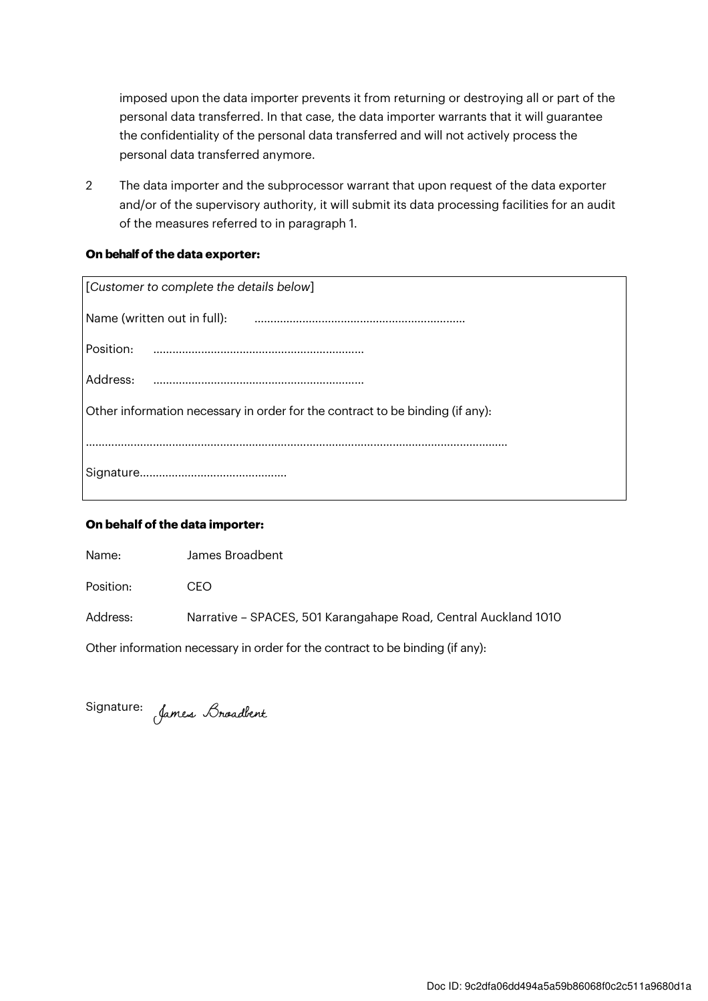imposed upon the data importer prevents it from returning or destroying all or part of the personal data transferred. In that case, the data importer warrants that it will guarantee the confidentiality of the personal data transferred and will not actively process the personal data transferred anymore.

2 The data importer and the subprocessor warrant that upon request of the data exporter and/or of the supervisory authority, it will submit its data processing facilities for an audit of the measures referred to in paragraph 1.

## **On behalf of the data exporter:**

| [Customer to complete the details below]                                      |  |  |
|-------------------------------------------------------------------------------|--|--|
|                                                                               |  |  |
| Position:                                                                     |  |  |
|                                                                               |  |  |
| Other information necessary in order for the contract to be binding (if any): |  |  |
|                                                                               |  |  |
|                                                                               |  |  |

#### **On behalf of the data importer:**

Name: James Broadbent

Position: CEO

Address: Narrative – SPACES, 501 Karangahape Road, Central Auckland 1010

Other information necessary in order for the contract to be binding (if any):

Signature: *James Broadbent*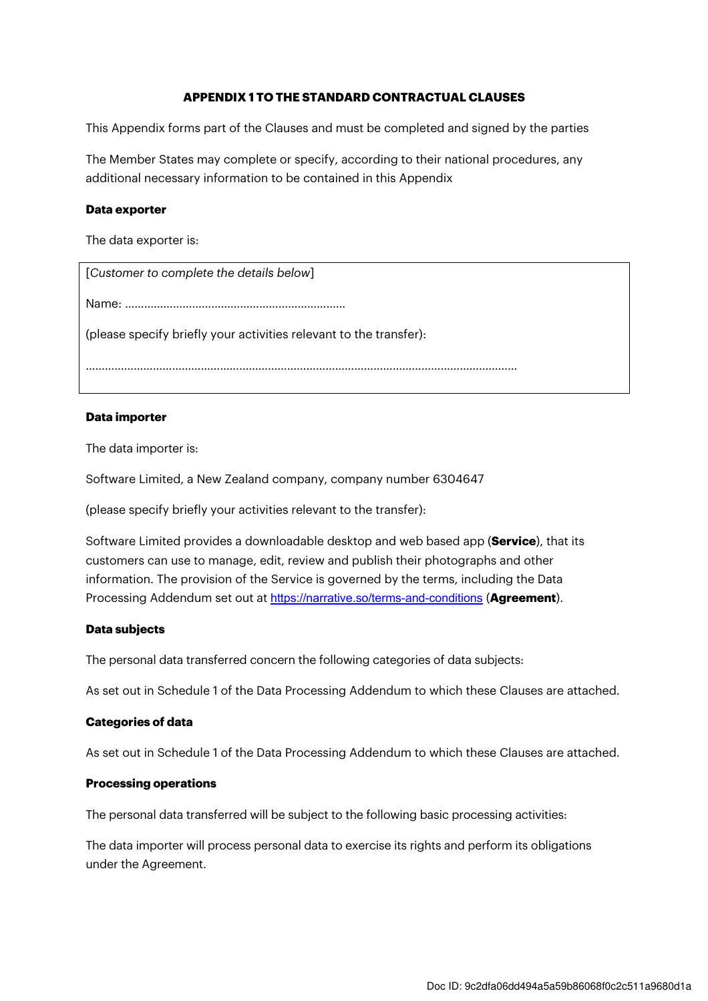## **APPENDIX 1 TO THE STANDARD CONTRACTUAL CLAUSES**

This Appendix forms part of the Clauses and must be completed and signed by the parties

The Member States may complete or specify, according to their national procedures, any additional necessary information to be contained in this Appendix

#### **Data exporter**

The data exporter is:

[Customer to complete the details below] Name: …………………………………………………………… (please specify briefly your activities relevant to the transfer): ………………………………………………………………………………………………………………………

## **Data importer**

The data importer is:

Software Limited, a New Zealand company, company number 6304647

(please specify briefly your activities relevant to the transfer):

Software Limited provides a downloadable desktop and web based app (**Service**), that its customers can use to manage, edit, review and publish their photographs and other information. The provision of the Service is governed by the terms, including the Data Processing Addendum set out at https://narrative.so/terms-and-conditions (**Agreement**).

#### **Data subjects**

The personal data transferred concern the following categories of data subjects:

As set out in Schedule 1 of the Data Processing Addendum to which these Clauses are attached.

#### **Categories of data**

As set out in Schedule 1 of the Data Processing Addendum to which these Clauses are attached.

#### **Processing operations**

The personal data transferred will be subject to the following basic processing activities:

The data importer will process personal data to exercise its rights and perform its obligations under the Agreement.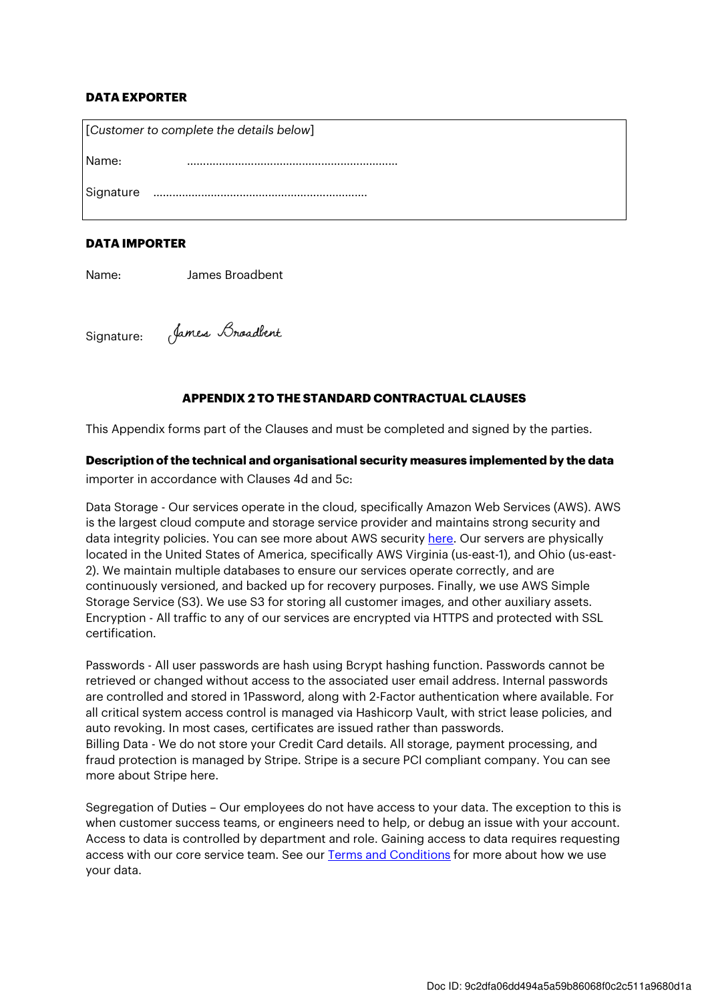## **DATA EXPORTER**

| [Customer to complete the details below] |  |  |
|------------------------------------------|--|--|
| Name:                                    |  |  |
| Signature                                |  |  |

#### **DATA IMPORTER**

Name: James Broadbent

James Broadbent Signature:

#### **APPENDIX 2 TO THE STANDARD CONTRACTUAL CLAUSES**

This Appendix forms part of the Clauses and must be completed and signed by the parties.

#### **Description of the technical and organisational security measures implemented by the data**

importer in accordance with Clauses 4d and 5c:

Data Storage - Our services operate in the cloud, specifically Amazon Web Services (AWS). AWS is the largest cloud compute and storage service provider and maintains strong security and data integrity policies. You can see more about AWS security here. Our servers are physically located in the United States of America, specifically AWS Virginia (us-east-1), and Ohio (us-east-2). We maintain multiple databases to ensure our services operate correctly, and are continuously versioned, and backed up for recovery purposes. Finally, we use AWS Simple Storage Service (S3). We use S3 for storing all customer images, and other auxiliary assets. Encryption - All traffic to any of our services are encrypted via HTTPS and protected with SSL certification.

Passwords - All user passwords are hash using Bcrypt hashing function. Passwords cannot be retrieved or changed without access to the associated user email address. Internal passwords are controlled and stored in 1Password, along with 2-Factor authentication where available. For all critical system access control is managed via Hashicorp Vault, with strict lease policies, and auto revoking. In most cases, certificates are issued rather than passwords. Billing Data - We do not store your Credit Card details. All storage, payment processing, and fraud protection is managed by Stripe. Stripe is a secure PCI compliant company. You can see more about Stripe here.

Segregation of Duties – Our employees do not have access to your data. The exception to this is when customer success teams, or engineers need to help, or debug an issue with your account. Access to data is controlled by department and role. Gaining access to data requires requesting access with our core service team. See our Terms and Conditions for more about how we use your data.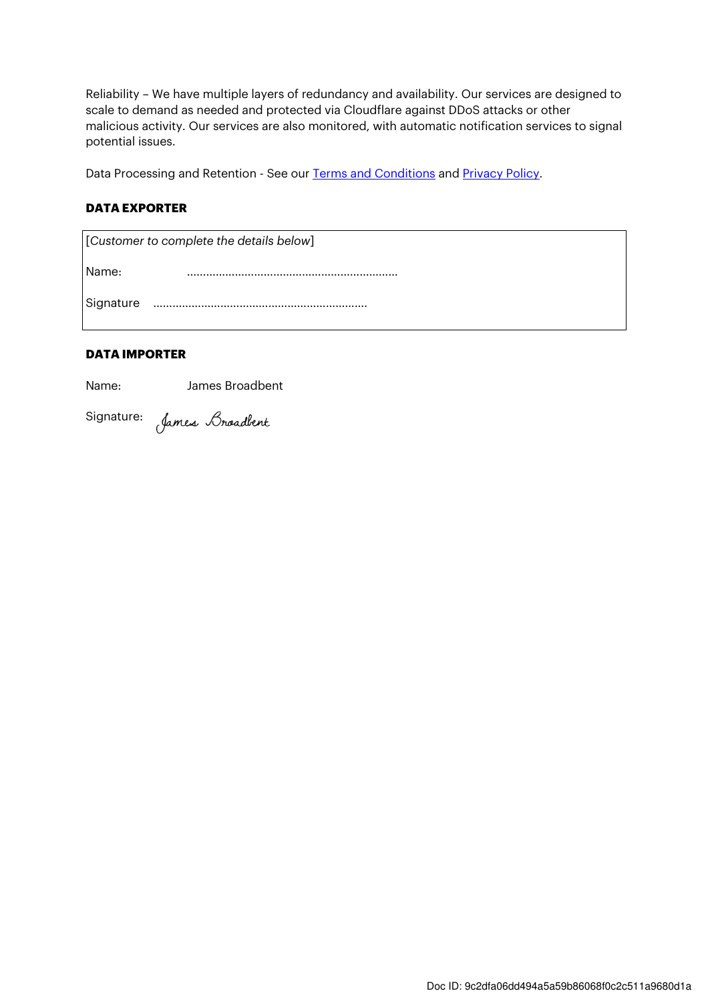Reliability – We have multiple layers of redundancy and availability. Our services are designed to scale to demand as needed and protected via Cloudflare against DDoS attacks or other malicious activity. Our services are also monitored, with automatic notification services to signal potential issues.

Data Processing and Retention - See our Terms and Conditions and Privacy Policy.

## **DATA EXPORTER**

| [Customer to complete the details below] |  |  |
|------------------------------------------|--|--|
| l Name:                                  |  |  |
| Signature                                |  |  |

## **DATA IMPORTER**

Name: James Broadbent

Signature: *James Broadbent*